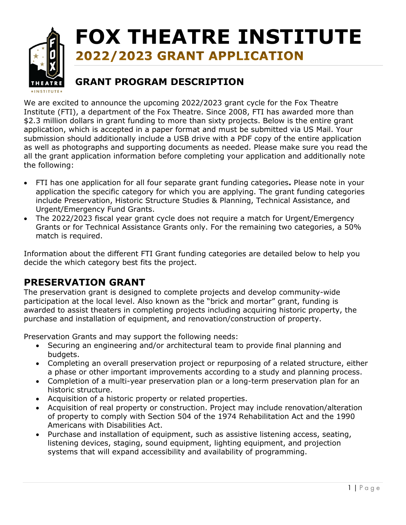

# **FOX THEATRE INSTITUTE** 2022/2023 GRANT APPLICATION

# **GRANT PROGRAM DESCRIPTION**

We are excited to announce the upcoming 2022/2023 grant cycle for the Fox Theatre Institute (FTI), a department of the Fox Theatre. Since 2008, FTI has awarded more than \$2.3 million dollars in grant funding to more than sixty projects. Below is the entire grant application, which is accepted in a paper format and must be submitted via US Mail. Your submission should additionally include a USB drive with a PDF copy of the entire application as well as photographs and supporting documents as needed. Please make sure you read the all the grant application information before completing your application and additionally note the following:

- FTI has one application for all four separate grant funding categories**.** Please note in your application the specific category for which you are applying. The grant funding categories include Preservation, Historic Structure Studies & Planning, Technical Assistance, and Urgent/Emergency Fund Grants.
- The 2022/2023 fiscal year grant cycle does not require a match for Urgent/Emergency Grants or for Technical Assistance Grants only. For the remaining two categories, a 50% match is required.

Information about the different FTI Grant funding categories are detailed below to help you decide the which category best fits the project.

## **PRESERVATION GRANT**

The preservation grant is designed to complete projects and develop community-wide participation at the local level. Also known as the "brick and mortar" grant, funding is awarded to assist theaters in completing projects including acquiring historic property, the purchase and installation of equipment, and renovation/construction of property.

Preservation Grants and may support the following needs:

- Securing an engineering and/or architectural team to provide final planning and budgets.
- Completing an overall preservation project or repurposing of a related structure, either a phase or other important improvements according to a study and planning process.
- Completion of a multi-year preservation plan or a long-term preservation plan for an historic structure.
- Acquisition of a historic property or related properties.
- Acquisition of real property or construction. Project may include renovation/alteration of property to comply with Section 504 of the 1974 Rehabilitation Act and the 1990 Americans with Disabilities Act.
- Purchase and installation of equipment, such as assistive listening access, seating, listening devices, staging, sound equipment, lighting equipment, and projection systems that will expand accessibility and availability of programming.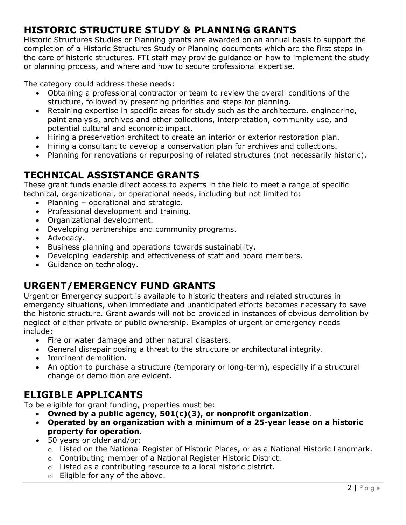# **HISTORIC STRUCTURE STUDY & PLANNING GRANTS**

Historic Structures Studies or Planning grants are awarded on an annual basis to support the completion of a Historic Structures Study or Planning documents which are the first steps in the care of historic structures. FTI staff may provide guidance on how to implement the study or planning process, and where and how to secure professional expertise.

The category could address these needs:

- Obtaining a professional contractor or team to review the overall conditions of the structure, followed by presenting priorities and steps for planning.
- Retaining expertise in specific areas for study such as the architecture, engineering, paint analysis, archives and other collections, interpretation, community use, and potential cultural and economic impact.
- Hiring a preservation architect to create an interior or exterior restoration plan.
- Hiring a consultant to develop a conservation plan for archives and collections.
- Planning for renovations or repurposing of related structures (not necessarily historic).

## **TECHNICAL ASSISTANCE GRANTS**

These grant funds enable direct access to experts in the field to meet a range of specific technical, organizational, or operational needs, including but not limited to:

- Planning operational and strategic.
- Professional development and training.
- Organizational development.
- Developing partnerships and community programs.
- Advocacy.
- Business planning and operations towards sustainability.
- Developing leadership and effectiveness of staff and board members.
- Guidance on technology.

### **URGENT/EMERGENCY FUND GRANTS**

Urgent or Emergency support is available to historic theaters and related structures in emergency situations, when immediate and unanticipated efforts becomes necessary to save the historic structure. Grant awards will not be provided in instances of obvious demolition by neglect of either private or public ownership. Examples of urgent or emergency needs include:

- Fire or water damage and other natural disasters.
- General disrepair posing a threat to the structure or architectural integrity.
- Imminent demolition.
- An option to purchase a structure (temporary or long-term), especially if a structural change or demolition are evident.

## **ELIGIBLE APPLICANTS**

To be eligible for grant funding, properties must be:

- **Owned by a public agency, 501(c)(3), or nonprofit organization**.
- **Operated by an organization with a minimum of a 25-year lease on a historic property for operation**.
- 50 years or older and/or:
	- o Listed on the National Register of Historic Places, or as a National Historic Landmark.
	- o Contributing member of a National Register Historic District.
	- o Listed as a contributing resource to a local historic district.
	- o Eligible for any of the above.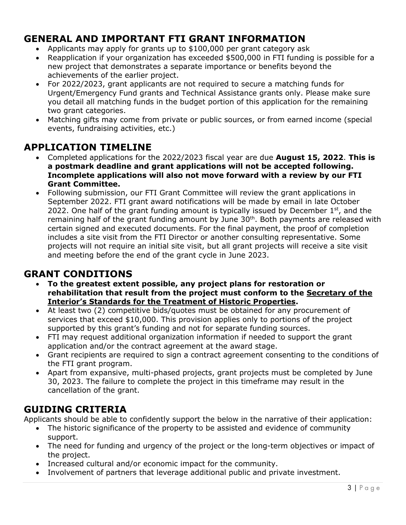## **GENERAL AND IMPORTANT FTI GRANT INFORMATION**

- Applicants may apply for grants up to \$100,000 per grant category ask
- Reapplication if your organization has exceeded \$500,000 in FTI funding is possible for a new project that demonstrates a separate importance or benefits beyond the achievements of the earlier project.
- For 2022/2023, grant applicants are not required to secure a matching funds for Urgent/Emergency Fund grants and Technical Assistance grants only. Please make sure you detail all matching funds in the budget portion of this application for the remaining two grant categories.
- Matching gifts may come from private or public sources, or from earned income (special events, fundraising activities, etc.)

## **APPLICATION TIMELINE**

- Completed applications for the 2022/2023 fiscal year are due **August 15, 2022**. **This is a postmark deadline and grant applications will not be accepted following. Incomplete applications will also not move forward with a review by our FTI Grant Committee.**
- Following submission, our FTI Grant Committee will review the grant applications in September 2022. FTI grant award notifications will be made by email in late October 2022. One half of the grant funding amount is typically issued by December  $1<sup>st</sup>$ , and the remaining half of the grant funding amount by June 30<sup>th</sup>. Both payments are released with certain signed and executed documents. For the final payment, the proof of completion includes a site visit from the FTI Director or another consulting representative. Some projects will not require an initial site visit, but all grant projects will receive a site visit and meeting before the end of the grant cycle in June 2023.

### **GRANT CONDITIONS**

- **To the greatest extent possible, any project plans for restoration or rehabilitation that result from the project must conform to the [Secretary of the](http://www.nps.gov/hps/tps/standguide/)  [Interior's Standards for the Treatment of Historic Properties](http://www.nps.gov/hps/tps/standguide/).**
- At least two (2) competitive bids/quotes must be obtained for any procurement of services that exceed \$10,000. This provision applies only to portions of the project supported by this grant's funding and not for separate funding sources.
- FTI may request additional organization information if needed to support the grant application and/or the contract agreement at the award stage.
- Grant recipients are required to sign a contract agreement consenting to the conditions of the FTI grant program.
- Apart from expansive, multi-phased projects, grant projects must be completed by June 30, 2023. The failure to complete the project in this timeframe may result in the cancellation of the grant.

## **GUIDING CRITERIA**

Applicants should be able to confidently support the below in the narrative of their application:

- The historic significance of the property to be assisted and evidence of community support.
- The need for funding and urgency of the project or the long-term objectives or impact of the project.
- Increased cultural and/or economic impact for the community.
- Involvement of partners that leverage additional public and private investment.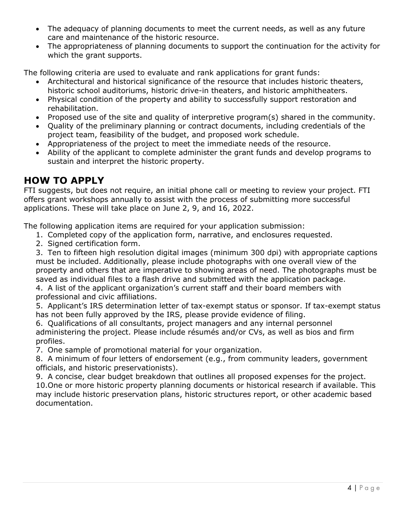- The adequacy of planning documents to meet the current needs, as well as any future care and maintenance of the historic resource.
- The appropriateness of planning documents to support the continuation for the activity for which the grant supports.

The following criteria are used to evaluate and rank applications for grant funds:

- Architectural and historical significance of the resource that includes historic theaters, historic school auditoriums, historic drive-in theaters, and historic amphitheaters.
- Physical condition of the property and ability to successfully support restoration and rehabilitation.
- Proposed use of the site and quality of interpretive program(s) shared in the community.
- Quality of the preliminary planning or contract documents, including credentials of the project team, feasibility of the budget, and proposed work schedule.
- Appropriateness of the project to meet the immediate needs of the resource.
- Ability of the applicant to complete administer the grant funds and develop programs to sustain and interpret the historic property.

### **HOW TO APPLY**

FTI suggests, but does not require, an initial phone call or meeting to review your project. FTI offers grant workshops annually to assist with the process of submitting more successful applications. These will take place on June 2, 9, and 16, 2022.

The following application items are required for your application submission:

- 1. Completed copy of the application form, narrative, and enclosures requested.
- 2. Signed certification form.

3. Ten to fifteen high resolution digital images (minimum 300 dpi) with appropriate captions must be included. Additionally, please include photographs with one overall view of the property and others that are imperative to showing areas of need. The photographs must be saved as individual files to a flash drive and submitted with the application package.

4. A list of the applicant organization's current staff and their board members with professional and civic affiliations.

5. Applicant's IRS determination letter of tax-exempt status or sponsor. If tax-exempt status has not been fully approved by the IRS, please provide evidence of filing.

6. Qualifications of all consultants, project managers and any internal personnel administering the project. Please include résumés and/or CVs, as well as bios and firm profiles.

7. One sample of promotional material for your organization.

8. A minimum of four letters of endorsement (e.g., from community leaders, government officials, and historic preservationists).

9. A concise, clear budget breakdown that outlines all proposed expenses for the project. 10.One or more historic property planning documents or historical research if available. This may include historic preservation plans, historic structures report, or other academic based documentation.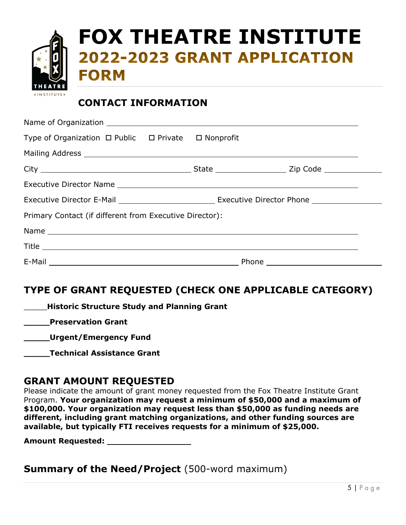|                | FOX THEATRE INSTITUTE |
|----------------|-----------------------|
|                |                       |
| <b>THEATRE</b> |                       |
|                |                       |

#### **CONTACT INFORMATION**

| Type of Organization $\Box$ Public $\Box$ Private $\Box$ Nonprofit |  |  |  |  |  |
|--------------------------------------------------------------------|--|--|--|--|--|
|                                                                    |  |  |  |  |  |
|                                                                    |  |  |  |  |  |
|                                                                    |  |  |  |  |  |
|                                                                    |  |  |  |  |  |
| Primary Contact (if different from Executive Director):            |  |  |  |  |  |
|                                                                    |  |  |  |  |  |
|                                                                    |  |  |  |  |  |
|                                                                    |  |  |  |  |  |

### **TYPE OF GRANT REQUESTED (CHECK ONE APPLICABLE CATEGORY)**

| <b>Historic Structure Study and Planning Grant</b> |
|----------------------------------------------------|
| <b>Preservation Grant</b>                          |
| Urgent/Emergency Fund                              |
| <b>Technical Assistance Grant</b>                  |
|                                                    |

#### **GRANT AMOUNT REQUESTED**

Please indicate the amount of grant money requested from the Fox Theatre Institute Grant Program. **Your organization may request a minimum of \$50,000 and a maximum of \$100,000. Your organization may request less than \$50,000 as funding needs are different, including grant matching organizations, and other funding sources are available, but typically FTI receives requests for a minimum of \$25,000.**

**Amount Requested:** 

**Summary of the Need/Project** (500-word maximum)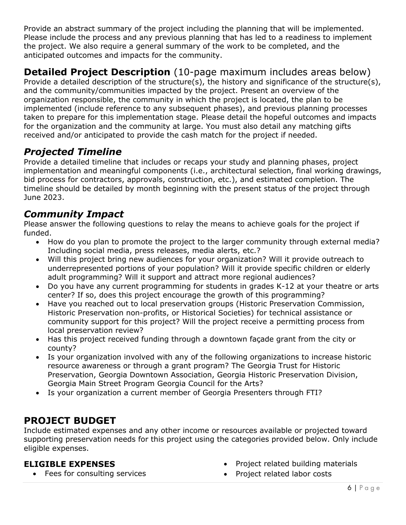Provide an abstract summary of the project including the planning that will be implemented. Please include the process and any previous planning that has led to a readiness to implement the project. We also require a general summary of the work to be completed, and the anticipated outcomes and impacts for the community.

# **Detailed Project Description** (10-page maximum includes areas below)

Provide a detailed description of the structure(s), the history and significance of the structure(s), and the community/communities impacted by the project. Present an overview of the organization responsible, the community in which the project is located, the plan to be implemented (include reference to any subsequent phases), and previous planning processes taken to prepare for this implementation stage. Please detail the hopeful outcomes and impacts for the organization and the community at large. You must also detail any matching gifts received and/or anticipated to provide the cash match for the project if needed.

## *Projected Timeline*

Provide a detailed timeline that includes or recaps your study and planning phases, project implementation and meaningful components (i.e., architectural selection, final working drawings, bid process for contractors, approvals, construction, etc.), and estimated completion. The timeline should be detailed by month beginning with the present status of the project through June 2023.

## *Community Impact*

Please answer the following questions to relay the means to achieve goals for the project if funded.

- How do you plan to promote the project to the larger community through external media? Including social media, press releases, media alerts, etc.?
- Will this project bring new audiences for your organization? Will it provide outreach to underrepresented portions of your population? Will it provide specific children or elderly adult programming? Will it support and attract more regional audiences?
- Do you have any current programming for students in grades K-12 at your theatre or arts center? If so, does this project encourage the growth of this programming?
- Have you reached out to local preservation groups (Historic Preservation Commission, Historic Preservation non-profits, or Historical Societies) for technical assistance or community support for this project? Will the project receive a permitting process from local preservation review?
- Has this project received funding through a downtown façade grant from the city or county?
- Is your organization involved with any of the following organizations to increase historic resource awareness or through a grant program? The Georgia Trust for Historic Preservation, Georgia Downtown Association, Georgia Historic Preservation Division, Georgia Main Street Program Georgia Council for the Arts?
- Is your organization a current member of Georgia Presenters through FTI?

## **PROJECT BUDGET**

Include estimated expenses and any other income or resources available or projected toward supporting preservation needs for this project using the categories provided below. Only include eligible expenses.

#### **ELIGIBLE EXPENSES**

• Fees for consulting services

- Project related building materials
- Project related labor costs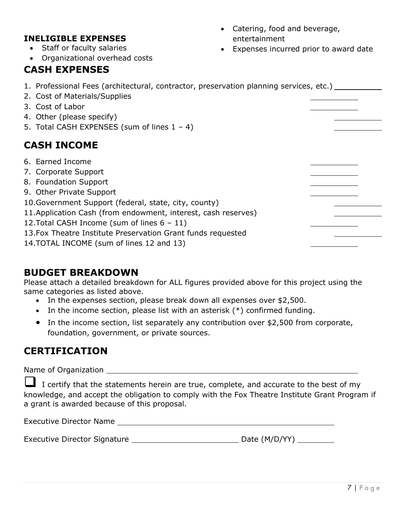#### **INELIGIBLE EXPENSES**

- Staff or faculty salaries
- Organizational overhead costs

## **CASH EXPENSES**

- Catering, food and beverage, entertainment
- Expenses incurred prior to award date

| 1. Professional Fees (architectural, contractor, preservation planning services, etc.)<br>2. Cost of Materials/Supplies<br>3. Cost of Labor<br>4. Other (please specify)<br>5. Total CASH EXPENSES (sum of lines $1 - 4$ )                                                                                                                                                              |  |
|-----------------------------------------------------------------------------------------------------------------------------------------------------------------------------------------------------------------------------------------------------------------------------------------------------------------------------------------------------------------------------------------|--|
| <b>CASH INCOME</b>                                                                                                                                                                                                                                                                                                                                                                      |  |
| 6. Earned Income<br>7. Corporate Support<br>8. Foundation Support<br>9. Other Private Support<br>10. Government Support (federal, state, city, county)<br>11. Application Cash (from endowment, interest, cash reserves)<br>12. Total CASH Income (sum of lines $6 - 11$ )<br>13. Fox Theatre Institute Preservation Grant funds requested<br>14. TOTAL INCOME (sum of lines 12 and 13) |  |

#### **BUDGET BREAKDOWN**

Please attach a detailed breakdown for ALL figures provided above for this project using the same categories as listed above.

- In the expenses section, please break down all expenses over \$2,500.
- In the income section, please list with an asterisk (\*) confirmed funding.
- In the income section, list separately any contribution over \$2,500 from corporate, foundation, government, or private sources.

## **CERTIFICATION**

Name of Organization

I certify that the statements herein are true, complete, and accurate to the best of my knowledge, and accept the obligation to comply with the Fox Theatre Institute Grant Program if a grant is awarded because of this proposal.

Executive Director Name

Executive Director Signature Date (M/D/YY)